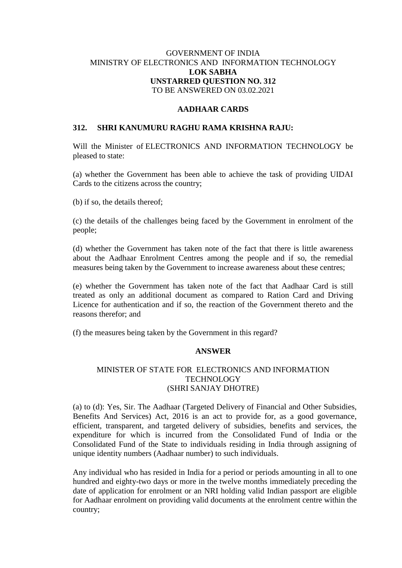# GOVERNMENT OF INDIA MINISTRY OF ELECTRONICS AND INFORMATION TECHNOLOGY **LOK SABHA UNSTARRED QUESTION NO. 312** TO BE ANSWERED ON 03.02.2021

# **AADHAAR CARDS**

#### **312. SHRI KANUMURU RAGHU RAMA KRISHNA RAJU:**

Will the Minister of ELECTRONICS AND INFORMATION TECHNOLOGY be pleased to state:

(a) whether the Government has been able to achieve the task of providing UIDAI Cards to the citizens across the country;

(b) if so, the details thereof;

(c) the details of the challenges being faced by the Government in enrolment of the people;

(d) whether the Government has taken note of the fact that there is little awareness about the Aadhaar Enrolment Centres among the people and if so, the remedial measures being taken by the Government to increase awareness about these centres;

(e) whether the Government has taken note of the fact that Aadhaar Card is still treated as only an additional document as compared to Ration Card and Driving Licence for authentication and if so, the reaction of the Government thereto and the reasons therefor; and

(f) the measures being taken by the Government in this regard?

# **ANSWER**

# MINISTER OF STATE FOR ELECTRONICS AND INFORMATION **TECHNOLOGY** (SHRI SANJAY DHOTRE)

(a) to (d): Yes, Sir. The Aadhaar (Targeted Delivery of Financial and Other Subsidies, Benefits And Services) Act, 2016 is an act to provide for, as a good governance, efficient, transparent, and targeted delivery of subsidies, benefits and services, the expenditure for which is incurred from the Consolidated Fund of India or the Consolidated Fund of the State to individuals residing in India through assigning of unique identity numbers (Aadhaar number) to such individuals.

Any individual who has resided in India for a period or periods amounting in all to one hundred and eighty-two days or more in the twelve months immediately preceding the date of application for enrolment or an NRI holding valid Indian passport are eligible for Aadhaar enrolment on providing valid documents at the enrolment centre within the country;